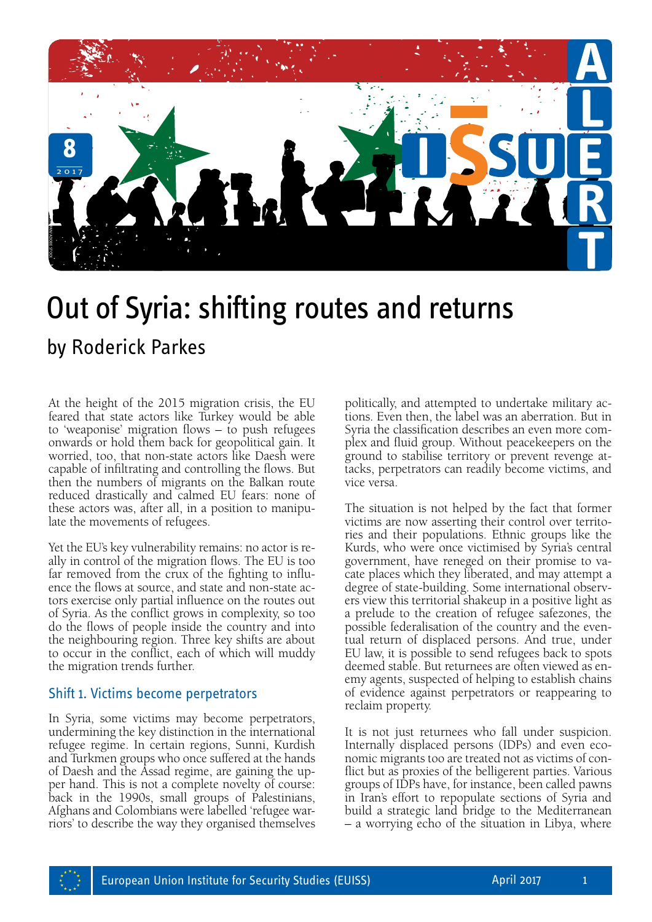

## Out of Syria: shifting routes and returns

At the height of the 2015 migration crisis, the EU feared that state actors like Turkey would be able to 'weaponise' migration flows – to push refugees onwards or hold them back for geopolitical gain. It worried, too, that non-state actors like Daesh were capable of infiltrating and controlling the flows. But then the numbers of migrants on the Balkan route reduced drastically and calmed EU fears: none of these actors was, after all, in a position to manipulate the movements of refugees.

Yet the EU's key vulnerability remains: no actor is really in control of the migration flows. The EU is too far removed from the crux of the fighting to influence the flows at source, and state and non-state ac tors exercise only partial influence on the routes out of Syria. As the conflict grows in complexity, so too do the flows of people inside the country and into the neighbouring region. Three key shifts are about to occur in the conflict, each of which will muddy the migration trends further.

## Shift 1. Victims become perpetrators

In Syria, some victims may become perpetrators, undermining the key distinction in the international refugee regime. In certain regions, Sunni, Kurdish and Turkmen groups who once suffered at the hands of Daesh and the Assad regime, are gaining the upper hand. This is not a complete novelty of course: back in the 1990s, small groups of Palestinians, Afghans and Colombians were labelled 'refugee warriors' to describe the way they organised themselves

politically, and attempted to undertake military actions. Even then, the label was an aberration. But in Syria the classification describes an even more complex and fluid group. Without peacekeepers on the ground to stabilise territory or prevent revenge at tacks, perpetrators can readily become victims, and vice versa.

The situation is not helped by the fact that former victims are now asserting their control over territories and their populations. Ethnic groups like the Kurds, who were once victimised by Syria's central government, have reneged on their promise to vacate places which they liberated, and may attempt a degree of state-building. Some international observ ers view this territorial shakeup in a positive light as a prelude to the creation of refugee safezones, the possible federalisation of the country and the even tual return of displaced persons. And true, under EU law, it is possible to send refugees back to spots deemed stable. But returnees are often viewed as enemy agents, suspected of helping to establish chains of evidence against perpetrators or reappearing to reclaim property.

It is not just returnees who fall under suspicion. Internally displaced persons (IDPs) and even economic migrants too are treated not as victims of conflict but as proxies of the belligerent parties. Various groups of IDPs have, for instance, been called pawns in Iran's effort to repopulate sections of Syria and build a strategic land bridge to the Mediterranean – a worrying echo of the situation in Libya, where